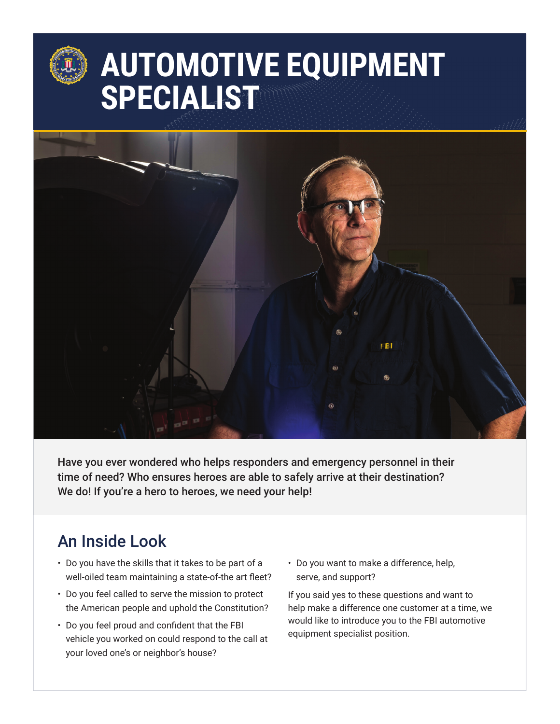# **AUTOMOTIVE EQUIPMENT SPECIALIST**



Have you ever wondered who helps responders and emergency personnel in their time of need? Who ensures heroes are able to safely arrive at their destination? We do! If you're a hero to heroes, we need your help!

### An Inside Look

- Do you have the skills that it takes to be part of a well-oiled team maintaining a state-of-the art fleet?
- Do you feel called to serve the mission to protect the American people and uphold the Constitution?
- Do you feel proud and confident that the FBI vehicle you worked on could respond to the call at your loved one's or neighbor's house?
- Do you want to make a difference, help, serve, and support?

If you said yes to these questions and want to help make a difference one customer at a time, we would like to introduce you to the FBI automotive equipment specialist position.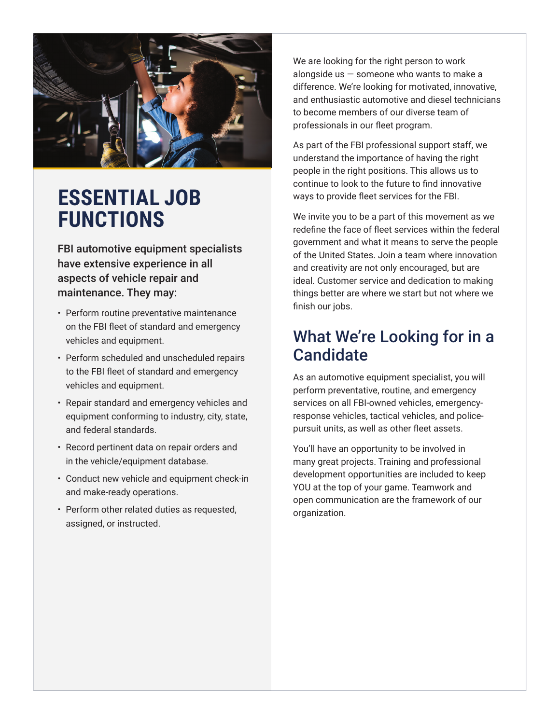

## **ESSENTIAL JOB FUNCTIONS**

FBI automotive equipment specialists have extensive experience in all aspects of vehicle repair and maintenance. They may:

- Perform routine preventative maintenance on the FBI fleet of standard and emergency vehicles and equipment.
- Perform scheduled and unscheduled repairs to the FBI fleet of standard and emergency vehicles and equipment.
- Repair standard and emergency vehicles and equipment conforming to industry, city, state, and federal standards.
- Record pertinent data on repair orders and in the vehicle/equipment database.
- Conduct new vehicle and equipment check-in and make-ready operations.
- Perform other related duties as requested, assigned, or instructed.

We are looking for the right person to work alongside us  $-$  someone who wants to make a difference. We're looking for motivated, innovative, and enthusiastic automotive and diesel technicians to become members of our diverse team of professionals in our fleet program.

As part of the FBI professional support staff, we understand the importance of having the right people in the right positions. This allows us to continue to look to the future to find innovative ways to provide fleet services for the FBI.

We invite you to be a part of this movement as we redefine the face of fleet services within the federal government and what it means to serve the people of the United States. Join a team where innovation and creativity are not only encouraged, but are ideal. Customer service and dedication to making things better are where we start but not where we finish our jobs.

#### What We're Looking for in a **Candidate**

As an automotive equipment specialist, you will perform preventative, routine, and emergency services on all FBI-owned vehicles, emergencyresponse vehicles, tactical vehicles, and policepursuit units, as well as other fleet assets.

You'll have an opportunity to be involved in many great projects. Training and professional development opportunities are included to keep YOU at the top of your game. Teamwork and open communication are the framework of our organization.